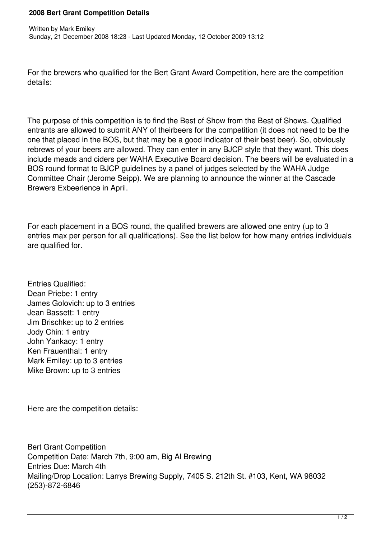## **2008 Bert Grant Competition Details**

For the brewers who qualified for the Bert Grant Award Competition, here are the competition details:

The purpose of this competition is to find the Best of Show from the Best of Shows. Qualified entrants are allowed to submit ANY of theirbeers for the competition (it does not need to be the one that placed in the BOS, but that may be a good indicator of their best beer). So, obviously rebrews of your beers are allowed. They can enter in any BJCP style that they want. This does include meads and ciders per WAHA Executive Board decision. The beers will be evaluated in a BOS round format to BJCP guidelines by a panel of judges selected by the WAHA Judge Committee Chair (Jerome Seipp). We are planning to announce the winner at the Cascade Brewers Exbeerience in April.

For each placement in a BOS round, the qualified brewers are allowed one entry (up to 3 entries max per person for all qualifications). See the list below for how many entries individuals are qualified for.

Entries Qualified: Dean Priebe: 1 entry James Golovich: up to 3 entries Jean Bassett: 1 entry Jim Brischke: up to 2 entries Jody Chin: 1 entry John Yankacy: 1 entry Ken Frauenthal: 1 entry Mark Emiley: up to 3 entries Mike Brown: up to 3 entries

Here are the competition details:

Bert Grant Competition Competition Date: March 7th, 9:00 am, Big Al Brewing Entries Due: March 4th Mailing/Drop Location: Larrys Brewing Supply, 7405 S. 212th St. #103, Kent, WA 98032 (253)-872-6846